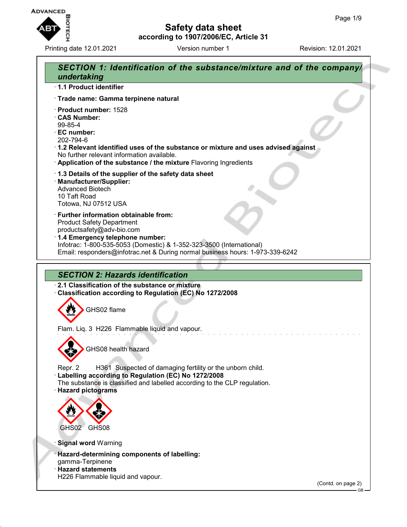

**according to 1907/2006/EC, Article 31**

**Safety data sheet**

Printing date 12.01.2021 **Version number 1** Revision: 12.01.2021

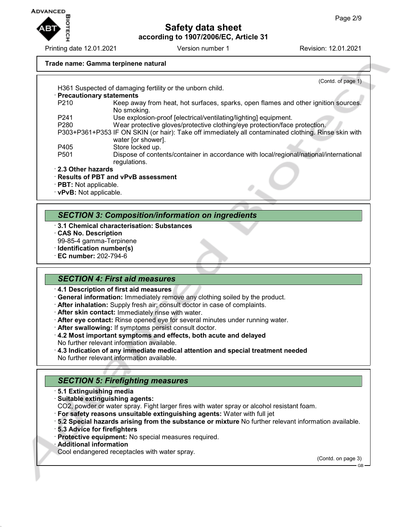

Printing date 12.01.2021 **Version number 1** Revision: 12.01.2021

#### **Trade name: Gamma terpinene natural**

|                                                          | (Contd. of page 1)                                                                                                         |
|----------------------------------------------------------|----------------------------------------------------------------------------------------------------------------------------|
|                                                          | H361 Suspected of damaging fertility or the unborn child.                                                                  |
|                                                          | · Precautionary statements                                                                                                 |
| P <sub>210</sub>                                         | Keep away from heat, hot surfaces, sparks, open flames and other ignition sources.                                         |
|                                                          | No smoking.                                                                                                                |
| P <sub>241</sub>                                         | Use explosion-proof [electrical/ventilating/lighting] equipment.                                                           |
| P <sub>280</sub>                                         | Wear protective gloves/protective clothing/eye protection/face protection.                                                 |
|                                                          | P303+P361+P353 IF ON SKIN (or hair): Take off immediately all contaminated clothing. Rinse skin with<br>water [or shower]. |
| P405                                                     | Store locked up.                                                                                                           |
| P <sub>501</sub>                                         | Dispose of contents/container in accordance with local/regional/national/international<br>regulations.                     |
| 2.3 Other hazards                                        |                                                                                                                            |
| · <b>PBT:</b> Not applicable.<br>· vPvB: Not applicable. | · Results of PBT and vPvB assessment                                                                                       |
|                                                          |                                                                                                                            |

## *SECTION 3: Composition/information on ingredients*

- · **3.1 Chemical characterisation: Substances**
- · **CAS No. Description**
- 99-85-4 gamma-Terpinene
- · **Identification number(s)**
- · **EC number:** 202-794-6

#### *SECTION 4: First aid measures*

· **4.1 Description of first aid measures**

- · **General information:** Immediately remove any clothing soiled by the product.
- · **After inhalation:** Supply fresh air; consult doctor in case of complaints.
- · **After skin contact:** Immediately rinse with water.
- · **After eye contact:** Rinse opened eye for several minutes under running water.
- · **After swallowing:** If symptoms persist consult doctor.
- · **4.2 Most important symptoms and effects, both acute and delayed** No further relevant information available.
- · **4.3 Indication of any immediate medical attention and special treatment needed** No further relevant information available.

## *SECTION 5: Firefighting measures*

- · **5.1 Extinguishing media**
- · **Suitable extinguishing agents:**

CO2, powder or water spray. Fight larger fires with water spray or alcohol resistant foam.

- · **For safety reasons unsuitable extinguishing agents:** Water with full jet
- · **5.2 Special hazards arising from the substance or mixture** No further relevant information available.
- · **5.3 Advice for firefighters**
- · **Protective equipment:** No special measures required.
- · **Additional information**
- Cool endangered receptacles with water spray.

(Contd. on page 3)

GB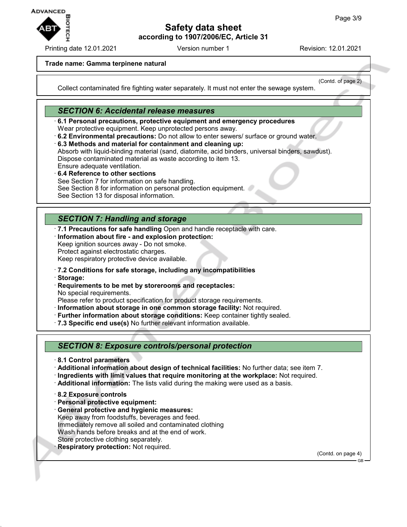

Printing date 12.01.2021 **Version number 1** Revision: 12.01.2021

(Contd. of page 2)

#### **Trade name: Gamma terpinene natural**

Collect contaminated fire fighting water separately. It must not enter the sewage system.

## *SECTION 6: Accidental release measures*

· **6.1 Personal precautions, protective equipment and emergency procedures** Wear protective equipment. Keep unprotected persons away.

- · **6.2 Environmental precautions:** Do not allow to enter sewers/ surface or ground water.
- · **6.3 Methods and material for containment and cleaning up:** Absorb with liquid-binding material (sand, diatomite, acid binders, universal binders, sawdust). Dispose contaminated material as waste according to item 13. Ensure adequate ventilation.
- · **6.4 Reference to other sections** See Section 7 for information on safe handling. See Section 8 for information on personal protection equipment. See Section 13 for disposal information.

# *SECTION 7: Handling and storage*

· **7.1 Precautions for safe handling** Open and handle receptacle with care.

- · **Information about fire and explosion protection:**
- Keep ignition sources away Do not smoke.

Protect against electrostatic charges.

Keep respiratory protective device available.

· **7.2 Conditions for safe storage, including any incompatibilities**

- · **Storage:**
- · **Requirements to be met by storerooms and receptacles:** No special requirements.

Please refer to product specification for product storage requirements.

- · **Information about storage in one common storage facility:** Not required.
- · **Further information about storage conditions:** Keep container tightly sealed.
- · **7.3 Specific end use(s)** No further relevant information available.

## *SECTION 8: Exposure controls/personal protection*

- · **8.1 Control parameters**
- · **Additional information about design of technical facilities:** No further data; see item 7.
- · **Ingredients with limit values that require monitoring at the workplace:** Not required.
- · **Additional information:** The lists valid during the making were used as a basis.
- · **8.2 Exposure controls**
- · **Personal protective equipment:**
- · **General protective and hygienic measures:** Keep away from foodstuffs, beverages and feed.

Immediately remove all soiled and contaminated clothing

Wash hands before breaks and at the end of work.

- Store protective clothing separately.
- **Respiratory protection: Not required.**

(Contd. on page 4)

GB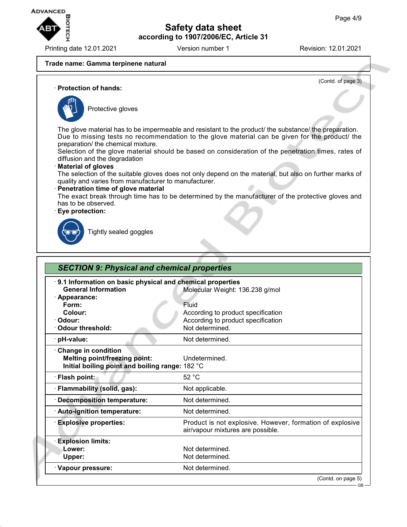

Printing date 12.01.2021 **Version number 1** Revision: 12.01.2021

(Contd. of page 3)

#### **Trade name: Gamma terpinene natural**

· **Protection of hands:**



Protective gloves

The glove material has to be impermeable and resistant to the product/ the substance/ the preparation. Due to missing tests no recommendation to the glove material can be given for the product/ the preparation/ the chemical mixture.

Selection of the glove material should be based on consideration of the penetration times, rates of diffusion and the degradation

#### · **Material of gloves**

The selection of the suitable gloves does not only depend on the material, but also on further marks of quality and varies from manufacturer to manufacturer.

#### · **Penetration time of glove material**

The exact break through time has to be determined by the manufacturer of the protective gloves and has to be observed.

#### · **Eye protection:**



Tightly sealed goggles

| 9.1 Information on basic physical and chemical properties |                                                           |
|-----------------------------------------------------------|-----------------------------------------------------------|
| <b>General Information</b>                                | Molecular Weight: 136.238 g/mol                           |
| · Appearance:                                             |                                                           |
| Form:                                                     | Fluid                                                     |
| Colour:                                                   | According to product specification                        |
| · Odour:                                                  | According to product specification                        |
| Odour threshold:                                          | Not determined.                                           |
| · pH-value:                                               | Not determined.                                           |
| Change in condition                                       |                                                           |
| <b>Melting point/freezing point:</b>                      | Undetermined.                                             |
| Initial boiling point and boiling range: 182 °C           |                                                           |
| · Flash point:                                            | 52 °C                                                     |
| · Flammability (solid, gas):                              | Not applicable.                                           |
| <b>Decomposition temperature:</b>                         | Not determined.                                           |
| · Auto-ignition temperature:                              | Not determined.                                           |
| <b>Explosive properties:</b>                              | Product is not explosive. However, formation of explosive |
|                                                           | air/vapour mixtures are possible.                         |
| <b>Explosion limits:</b>                                  |                                                           |
| Lower:                                                    | Not determined.                                           |
| Upper:                                                    | Not determined.                                           |
| · Vapour pressure:                                        | Not determined.                                           |

GB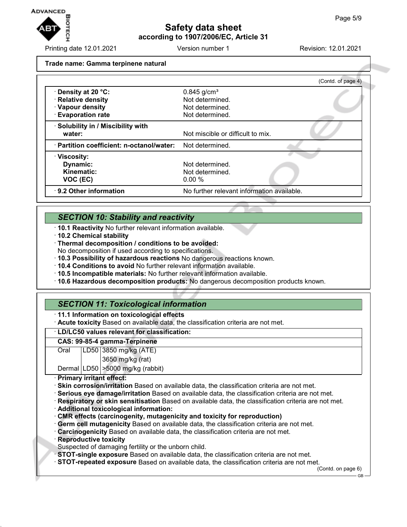

Printing date 12.01.2021 Version number 1 Revision: 12.01.2021

**Trade name: Gamma terpinene natural**

|                                           | (Contd. of page 4)                         |
|-------------------------------------------|--------------------------------------------|
| <b>⋅Density at 20 °C:</b>                 | $0.845$ g/cm <sup>3</sup>                  |
| · Relative density                        | Not determined.                            |
| · Vapour density                          | Not determined.                            |
| <b>Evaporation rate</b>                   | Not determined.                            |
| · Solubility in / Miscibility with        |                                            |
| water:                                    | Not miscible or difficult to mix.          |
| · Partition coefficient: n-octanol/water: | Not determined.                            |
| $\cdot$ Viscosity:                        |                                            |
| Dynamic:                                  | Not determined.                            |
| Kinematic:                                | Not determined.                            |
| VOC (EC)                                  | 0.00%                                      |
| 9.2 Other information                     | No further relevant information available. |

# *SECTION 10: Stability and reactivity*

- · **10.1 Reactivity** No further relevant information available.
- · **10.2 Chemical stability**
- · **Thermal decomposition / conditions to be avoided:**
- No decomposition if used according to specifications.
- · **10.3 Possibility of hazardous reactions** No dangerous reactions known.
- · **10.4 Conditions to avoid** No further relevant information available.
- · **10.5 Incompatible materials:** No further relevant information available.
- · **10.6 Hazardous decomposition products:** No dangerous decomposition products known.

# *SECTION 11: Toxicological information*

- · **11.1 Information on toxicological effects**
- · **Acute toxicity** Based on available data, the classification criteria are not met.

#### · **LD/LC50 values relevant for classification:**

#### **CAS: 99-85-4 gamma-Terpinene**

Oral LD50 3850 mg/kg (ATE) 3650 mg/kg (rat)

Dermal LD50 >5000 mg/kg (rabbit)

#### · **Primary irritant effect:**

- · **Skin corrosion/irritation** Based on available data, the classification criteria are not met.
- · **Serious eye damage/irritation** Based on available data, the classification criteria are not met.
- · **Respiratory or skin sensitisation** Based on available data, the classification criteria are not met.
- · **Additional toxicological information:**
- · **CMR effects (carcinogenity, mutagenicity and toxicity for reproduction)**
- · **Germ cell mutagenicity** Based on available data, the classification criteria are not met.
- · **Carcinogenicity** Based on available data, the classification criteria are not met.
- · **Reproductive toxicity**
- Suspected of damaging fertility or the unborn child.
- · **STOT-single exposure** Based on available data, the classification criteria are not met.
- · **STOT-repeated exposure** Based on available data, the classification criteria are not met.

(Contd. on page 6)

GB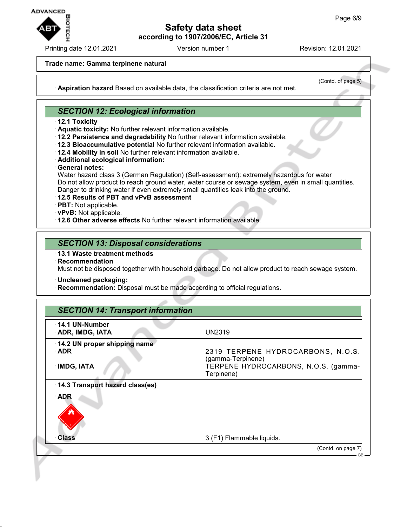

Printing date 12.01.2021 **Version number 1** Revision: 12.01.2021

#### **Trade name: Gamma terpinene natural**

(Contd. of page 5)

· **Aspiration hazard** Based on available data, the classification criteria are not met.

## *SECTION 12: Ecological information*

- · **12.1 Toxicity**
- · **Aquatic toxicity:** No further relevant information available.
- · **12.2 Persistence and degradability** No further relevant information available.
- · **12.3 Bioaccumulative potential** No further relevant information available.
- · **12.4 Mobility in soil** No further relevant information available.
- · **Additional ecological information:**
- · **General notes:**

Water hazard class 3 (German Regulation) (Self-assessment): extremely hazardous for water Do not allow product to reach ground water, water course or sewage system, even in small quantities. Danger to drinking water if even extremely small quantities leak into the ground.

- · **12.5 Results of PBT and vPvB assessment**
- · **PBT:** Not applicable.
- · **vPvB:** Not applicable.
- · **12.6 Other adverse effects** No further relevant information available.

## *SECTION 13: Disposal considerations*

- · **13.1 Waste treatment methods**
- · **Recommendation**

Must not be disposed together with household garbage. Do not allow product to reach sewage system.

- · **Uncleaned packaging:**
- · **Recommendation:** Disposal must be made according to official regulations.

| 14.1 UN-Number                              |                                                                                                |
|---------------------------------------------|------------------------------------------------------------------------------------------------|
| · ADR, IMDG, IATA                           | <b>UN2319</b>                                                                                  |
| 14.2 UN proper shipping name<br>$\cdot$ ADR | 2319 TERPENE HYDROCARBONS, N.O.S.<br>(gamma-Terpinene)<br>TERPENE HYDROCARBONS, N.O.S. (gamma- |
| · IMDG, IATA                                | Terpinene)                                                                                     |
| 14.3 Transport hazard class(es)             |                                                                                                |
| $\cdot$ ADR                                 |                                                                                                |
| <b>Class</b>                                | 3 (F1) Flammable liquids.                                                                      |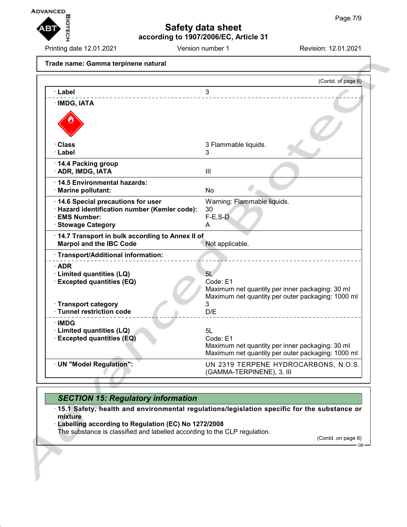

Printing date 12.01.2021 **Version number 1** Revision: 12.01.2021

**Trade name: Gamma terpinene natural** (Contd. of page 6) · **Label** 3 · **IMDG, IATA** · **Class** 3 Flammable liquids. · **Label** 3 · **14.4 Packing group** · **ADR, IMDG, IATA** III · **14.5 Environmental hazards:** · **Marine pollutant:** No · **14.6 Special precautions for user** Warning: Flammable liquids. · **Hazard identification number (Kemler code):** 30  $\cdot$  EMS Number: · **Stowage Category** A · **14.7 Transport in bulk according to Annex II of Marpol and the IBC Code** Not applicable. · **Transport/Additional information:** · **ADR** · **Limited quantities (LQ)** 5L · **Excepted quantities (EQ)** Code: E1 Maximum net quantity per inner packaging: 30 ml Maximum net quantity per outer packaging: 1000 ml · **Transport category** 3 · Tunnel restriction code · **IMDG** · **Limited quantities (LQ)** 5L · **Excepted quantities (EQ)** Code: E1 Maximum net quantity per inner packaging: 30 ml Maximum net quantity per outer packaging: 1000 ml · **UN "Model Regulation":** UN 2319 TERPENE HYDROCARBONS, N.O.S. (GAMMA-TERPINENE), 3, III

# *SECTION 15: Regulatory information*

· **15.1 Safety, health and environmental regulations/legislation specific for the substance or mixture**

· **Labelling according to Regulation (EC) No 1272/2008**

The substance is classified and labelled according to the CLP regulation.

(Contd. on page 8) GB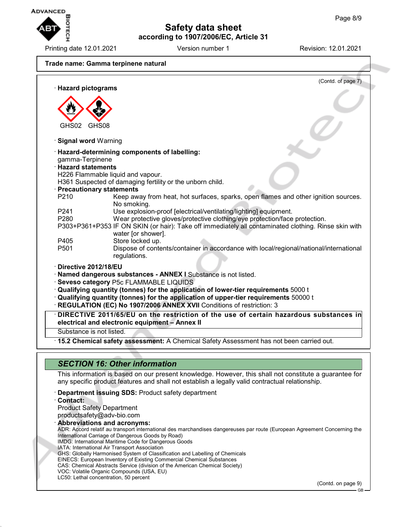

Printing date 12.01.2021 **Version number 1** Revision: 12.01.2021

(Contd. of page 7)

# **Trade name: Gamma terpinene natural** · **Hazard pictograms**

GHS02 GHS08 · **Signal word** Warning · **Hazard-determining components of labelling:** gamma-Terpinene · **Hazard statements** H226 Flammable liquid and vapour. H361 Suspected of damaging fertility or the unborn child. · **Precautionary statements** Keep away from heat, hot surfaces, sparks, open flames and other ignition sources. No smoking. P241 Use explosion-proof [electrical/ventilating/lighting] equipment.<br>P280 Wear protective gloves/protective clothing/eye protection/face Wear protective gloves/protective clothing/eye protection/face protection. P303+P361+P353 IF ON SKIN (or hair): Take off immediately all contaminated clothing. Rinse skin with water [or shower]. P405 Store locked up.<br>P501 Dispose of conte Dispose of contents/container in accordance with local/regional/national/international regulations. · **Directive 2012/18/EU** · **Named dangerous substances - ANNEX I** Substance is not listed. · **Seveso category** P5c FLAMMABLE LIQUIDS · **Qualifying quantity (tonnes) for the application of lower-tier requirements** 5000 t · **Qualifying quantity (tonnes) for the application of upper-tier requirements** 50000 t · **REGULATION (EC) No 1907/2006 ANNEX XVII** Conditions of restriction: 3 · **DIRECTIVE 2011/65/EU on the restriction of the use of certain hazardous substances in electrical and electronic equipment – Annex II**

Substance is not listed.

· **15.2 Chemical safety assessment:** A Chemical Safety Assessment has not been carried out.

| <b>SECTION 16: Other information</b>                                                                                                                                                                                                                                                                                                                                                                                                                                                                                                                                                                                                                                                                                                                                                                |
|-----------------------------------------------------------------------------------------------------------------------------------------------------------------------------------------------------------------------------------------------------------------------------------------------------------------------------------------------------------------------------------------------------------------------------------------------------------------------------------------------------------------------------------------------------------------------------------------------------------------------------------------------------------------------------------------------------------------------------------------------------------------------------------------------------|
| This information is based on our present knowledge. However, this shall not constitute a guarantee for<br>any specific product features and shall not establish a legally valid contractual relationship.                                                                                                                                                                                                                                                                                                                                                                                                                                                                                                                                                                                           |
| <b>Department issuing SDS: Product safety department</b><br>· Contact:<br><b>Product Safety Department</b><br>productsafety@adv-bio.com<br>· Abbreviations and acronyms:<br>ADR: Accord relatif au transport international des marchandises dangereuses par route (European Agreement Concerning the<br>International Carriage of Dangerous Goods by Road)<br>IMDG: International Maritime Code for Dangerous Goods<br>IATA: International Air Transport Association<br>GHS: Globally Harmonised System of Classification and Labelling of Chemicals<br>EINECS: European Inventory of Existing Commercial Chemical Substances<br>CAS: Chemical Abstracts Service (division of the American Chemical Society)<br>VOC: Volatile Organic Compounds (USA, EU)<br>LC50: Lethal concentration, 50 percent |
| (Contd. on page 9)                                                                                                                                                                                                                                                                                                                                                                                                                                                                                                                                                                                                                                                                                                                                                                                  |